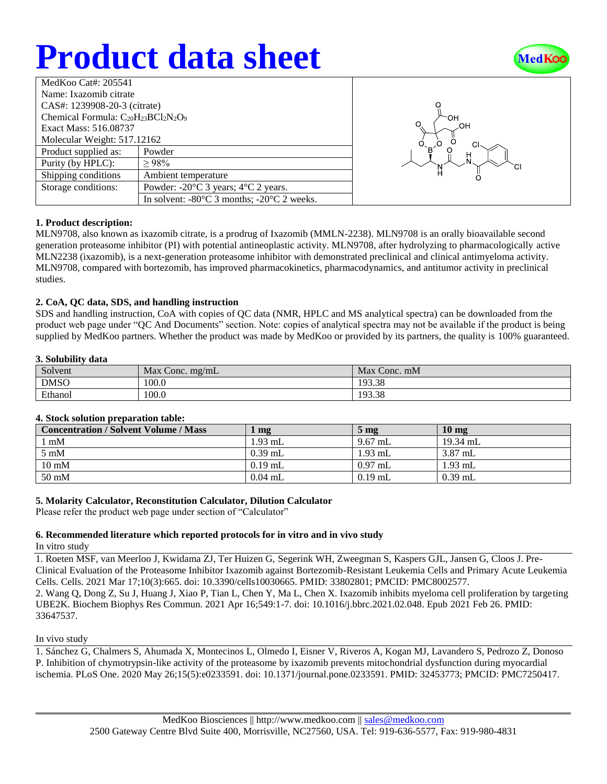# **Product data sheet**



| MedKoo Cat#: 205541                         |                                                                |  |  |  |
|---------------------------------------------|----------------------------------------------------------------|--|--|--|
| Name: Ixazomib citrate                      |                                                                |  |  |  |
| CAS#: 1239908-20-3 (citrate)                |                                                                |  |  |  |
| Chemical Formula: $C_{20}H_{23}BCl_2N_2O_9$ |                                                                |  |  |  |
| Exact Mass: 516.08737                       |                                                                |  |  |  |
| Molecular Weight: 517.12162                 |                                                                |  |  |  |
| Product supplied as:                        | Powder                                                         |  |  |  |
| Purity (by HPLC):                           | >98%                                                           |  |  |  |
| Shipping conditions                         | Ambient temperature                                            |  |  |  |
| Storage conditions:                         | Powder: $-20^{\circ}$ C 3 years; $4^{\circ}$ C 2 years.        |  |  |  |
|                                             | In solvent: $-80^{\circ}$ C 3 months; $-20^{\circ}$ C 2 weeks. |  |  |  |



## **1. Product description:**

MLN9708, also known as ixazomib citrate, is a prodrug of Ixazomib (MMLN-2238). MLN9708 is an orally bioavailable second generation proteasome inhibitor (PI) with potential antineoplastic activity. MLN9708, after hydrolyzing to pharmacologically active MLN2238 (ixazomib), is a next-generation proteasome inhibitor with demonstrated preclinical and clinical antimyeloma activity. MLN9708, compared with bortezomib, has improved pharmacokinetics, pharmacodynamics, and antitumor activity in preclinical studies.

## **2. CoA, QC data, SDS, and handling instruction**

SDS and handling instruction, CoA with copies of QC data (NMR, HPLC and MS analytical spectra) can be downloaded from the product web page under "QC And Documents" section. Note: copies of analytical spectra may not be available if the product is being supplied by MedKoo partners. Whether the product was made by MedKoo or provided by its partners, the quality is 100% guaranteed.

#### **3. Solubility data**

| Solvent     | Max Conc. $mg/mL$ | Max Conc. mM |
|-------------|-------------------|--------------|
| <b>DMSO</b> | 100.0             | 193.38       |
| Ethanol     | 100.0             | 193.38       |

## **4. Stock solution preparation table:**

| <b>Concentration / Solvent Volume / Mass</b> | ~m <sub>g</sub> | 5 <sub>mg</sub> | $10 \text{ mg}$ |
|----------------------------------------------|-----------------|-----------------|-----------------|
| $1 \text{ mM}$                               | $1.93$ mL       | 9.67 mL         | $19.34$ mL      |
| $5 \text{ mM}$                               | $0.39$ mL       | $1.93$ mL       | $3.87$ mL       |
| $10 \text{ mM}$                              | $0.19$ mL       | $0.97$ mL       | $1.93$ mL       |
| 50 mM                                        | $0.04$ mL       | $0.19$ mL       | $0.39$ mL       |

## **5. Molarity Calculator, Reconstitution Calculator, Dilution Calculator**

Please refer the product web page under section of "Calculator"

#### **6. Recommended literature which reported protocols for in vitro and in vivo study** In vitro study

1. Roeten MSF, van Meerloo J, Kwidama ZJ, Ter Huizen G, Segerink WH, Zweegman S, Kaspers GJL, Jansen G, Cloos J. Pre-Clinical Evaluation of the Proteasome Inhibitor Ixazomib against Bortezomib-Resistant Leukemia Cells and Primary Acute Leukemia Cells. Cells. 2021 Mar 17;10(3):665. doi: 10.3390/cells10030665. PMID: 33802801; PMCID: PMC8002577. 2. Wang Q, Dong Z, Su J, Huang J, Xiao P, Tian L, Chen Y, Ma L, Chen X. Ixazomib inhibits myeloma cell proliferation by targeting UBE2K. Biochem Biophys Res Commun. 2021 Apr 16;549:1-7. doi: 10.1016/j.bbrc.2021.02.048. Epub 2021 Feb 26. PMID: 33647537.

## In vivo study

1. Sánchez G, Chalmers S, Ahumada X, Montecinos L, Olmedo I, Eisner V, Riveros A, Kogan MJ, Lavandero S, Pedrozo Z, Donoso P. Inhibition of chymotrypsin-like activity of the proteasome by ixazomib prevents mitochondrial dysfunction during myocardial ischemia. PLoS One. 2020 May 26;15(5):e0233591. doi: 10.1371/journal.pone.0233591. PMID: 32453773; PMCID: PMC7250417.